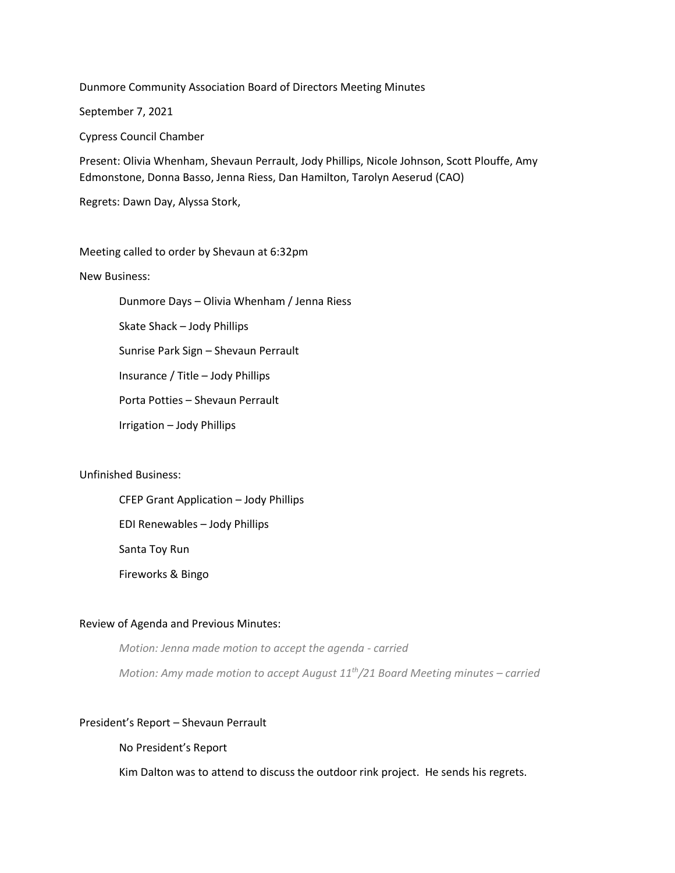Dunmore Community Association Board of Directors Meeting Minutes

September 7, 2021

Cypress Council Chamber

Present: Olivia Whenham, Shevaun Perrault, Jody Phillips, Nicole Johnson, Scott Plouffe, Amy Edmonstone, Donna Basso, Jenna Riess, Dan Hamilton, Tarolyn Aeserud (CAO)

Regrets: Dawn Day, Alyssa Stork,

Meeting called to order by Shevaun at 6:32pm

New Business:

Dunmore Days – Olivia Whenham / Jenna Riess

Skate Shack – Jody Phillips

Sunrise Park Sign – Shevaun Perrault

Insurance / Title – Jody Phillips

Porta Potties – Shevaun Perrault

Irrigation – Jody Phillips

Unfinished Business:

CFEP Grant Application – Jody Phillips EDI Renewables – Jody Phillips

Santa Toy Run

Fireworks & Bingo

## Review of Agenda and Previous Minutes:

*Motion: Jenna made motion to accept the agenda - carried Motion: Amy made motion to accept August 11 th/21 Board Meeting minutes – carried*

### President's Report – Shevaun Perrault

No President's Report

Kim Dalton was to attend to discuss the outdoor rink project. He sends his regrets.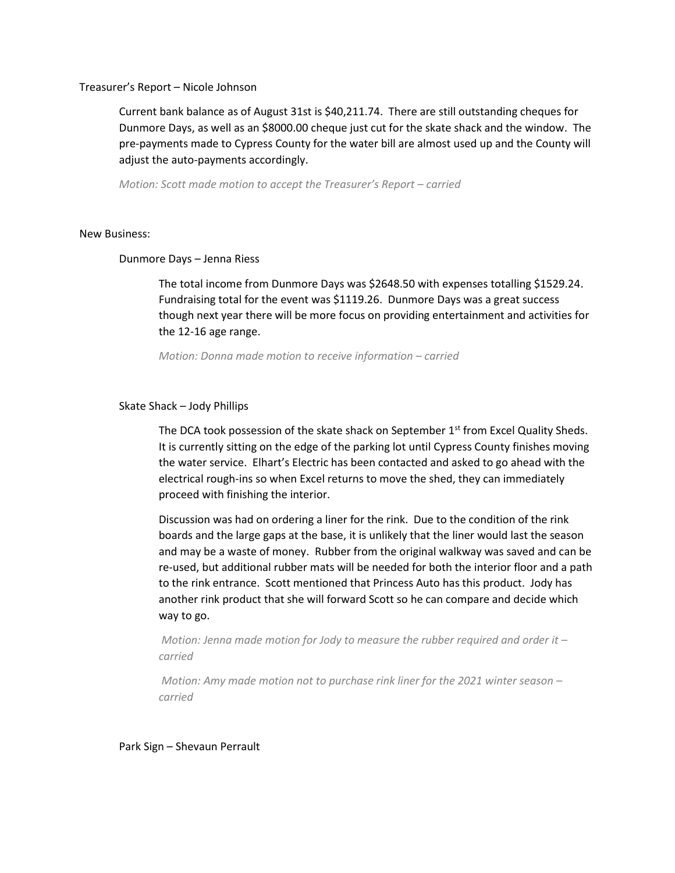## Treasurer's Report – Nicole Johnson

Current bank balance as of August 31st is \$40,211.74. There are still outstanding cheques for Dunmore Days, as well as an \$8000.00 cheque just cut for the skate shack and the window. The pre-payments made to Cypress County for the water bill are almost used up and the County will adjust the auto-payments accordingly.

*Motion: Scott made motion to accept the Treasurer's Report – carried*

## New Business:

## Dunmore Days – Jenna Riess

The total income from Dunmore Days was \$2648.50 with expenses totalling \$1529.24. Fundraising total for the event was \$1119.26. Dunmore Days was a great success though next year there will be more focus on providing entertainment and activities for the 12-16 age range.

*Motion: Donna made motion to receive information – carried* 

# Skate Shack – Jody Phillips

The DCA took possession of the skate shack on September  $1<sup>st</sup>$  from Excel Quality Sheds. It is currently sitting on the edge of the parking lot until Cypress County finishes moving the water service. Elhart's Electric has been contacted and asked to go ahead with the electrical rough-ins so when Excel returns to move the shed, they can immediately proceed with finishing the interior.

Discussion was had on ordering a liner for the rink. Due to the condition of the rink boards and the large gaps at the base, it is unlikely that the liner would last the season and may be a waste of money. Rubber from the original walkway was saved and can be re-used, but additional rubber mats will be needed for both the interior floor and a path to the rink entrance. Scott mentioned that Princess Auto has this product. Jody has another rink product that she will forward Scott so he can compare and decide which way to go.

*Motion: Jenna made motion for Jody to measure the rubber required and order it – carried*

*Motion: Amy made motion not to purchase rink liner for the 2021 winter season – carried*

Park Sign – Shevaun Perrault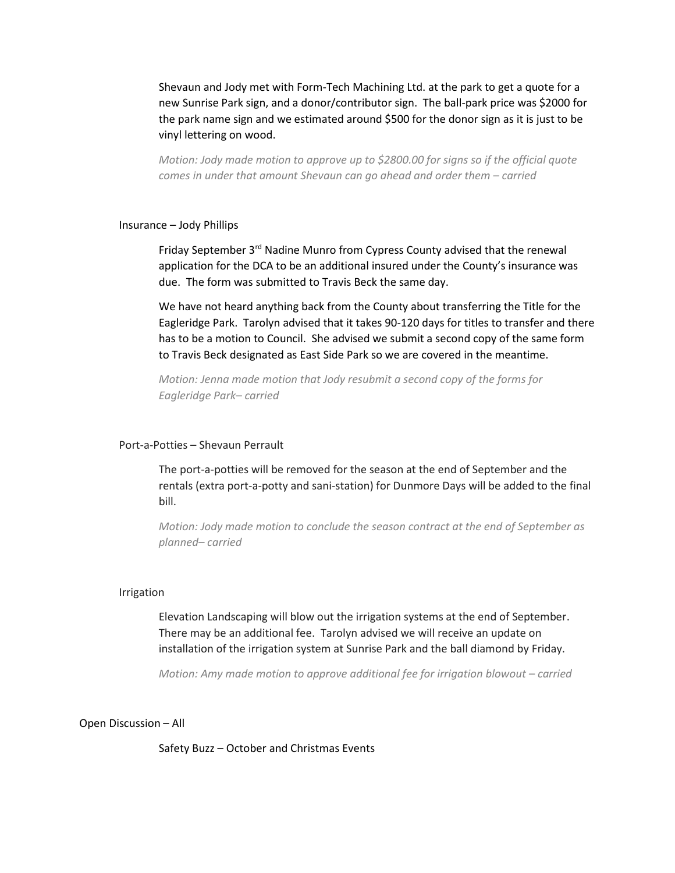Shevaun and Jody met with Form-Tech Machining Ltd. at the park to get a quote for a new Sunrise Park sign, and a donor/contributor sign. The ball-park price was \$2000 for the park name sign and we estimated around \$500 for the donor sign as it is just to be vinyl lettering on wood.

*Motion: Jody made motion to approve up to \$2800.00 for signs so if the official quote comes in under that amount Shevaun can go ahead and order them – carried*

# Insurance – Jody Phillips

Friday September 3rd Nadine Munro from Cypress County advised that the renewal application for the DCA to be an additional insured under the County's insurance was due. The form was submitted to Travis Beck the same day.

We have not heard anything back from the County about transferring the Title for the Eagleridge Park. Tarolyn advised that it takes 90-120 days for titles to transfer and there has to be a motion to Council. She advised we submit a second copy of the same form to Travis Beck designated as East Side Park so we are covered in the meantime.

*Motion: Jenna made motion that Jody resubmit a second copy of the forms for Eagleridge Park– carried*

## Port-a-Potties – Shevaun Perrault

The port-a-potties will be removed for the season at the end of September and the rentals (extra port-a-potty and sani-station) for Dunmore Days will be added to the final bill.

*Motion: Jody made motion to conclude the season contract at the end of September as planned– carried*

#### Irrigation

Elevation Landscaping will blow out the irrigation systems at the end of September. There may be an additional fee. Tarolyn advised we will receive an update on installation of the irrigation system at Sunrise Park and the ball diamond by Friday.

*Motion: Amy made motion to approve additional fee for irrigation blowout – carried* 

### Open Discussion – All

Safety Buzz – October and Christmas Events